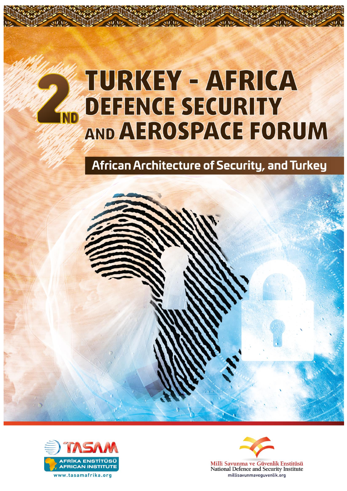# **TURKEY - AFRICA DEFENCE SECURITY** IND AND AEROSPACE FORUM

African Architecture of Security, and Turkey





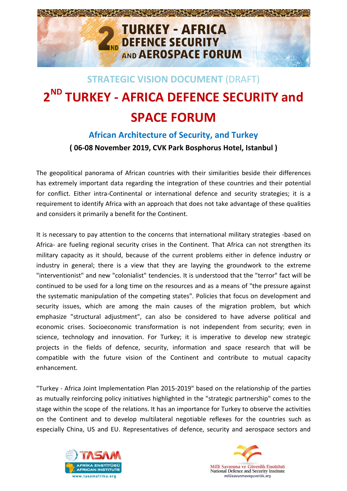

# **STRATEGIC VISION DOCUMENT** (DRAFT) **2 ND TURKEY - AFRICA DEFENCE SECURITY and SPACE FORUM**

## **African Architecture of Security, and Turkey ( 06-08 November 2019, CVK Park Bosphorus Hotel, Istanbul )**

The geopolitical panorama of African countries with their similarities beside their differences has extremely important data regarding the integration of these countries and their potential for conflict. Either intra-Continental or international defence and security strategies; it is a requirement to identify Africa with an approach that does not take advantage of these qualities and considers it primarily a benefit for the Continent.

It is necessary to pay attention to the concerns that international military strategies -based on Africa- are fueling regional security crises in the Continent. That Africa can not strengthen its military capacity as it should, because of the current problems either in defence industry or industry in general; there is a view that they are layying the groundwork to the extreme "interventionist" and new "colonialist" tendencies. It is understood that the "terror" fact will be continued to be used for a long time on the resources and as a means of "the pressure against the systematic manipulation of the competing states". Policies that focus on development and security issues, which are among the main causes of the migration problem, but which emphasize "structural adjustment", can also be considered to have adverse political and economic crises. Socioeconomic transformation is not independent from security; even in science, technology and innovation. For Turkey; it is imperative to develop new strategic projects in the fields of defence, security, information and space research that will be compatible with the future vision of the Continent and contribute to mutual capacity enhancement.

"Turkey - Africa Joint Implementation Plan 2015-2019" based on the relationship of the parties as mutually reinforcing policy initiatives highlighted in the "strategic partnership" comes to the stage within the scope of the relations. It has an importance for Turkey to observe the activities on the Continent and to develop multilateral negotiable reflexes for the countries such as especially China, US and EU. Representatives of defence, security and aerospace sectors and